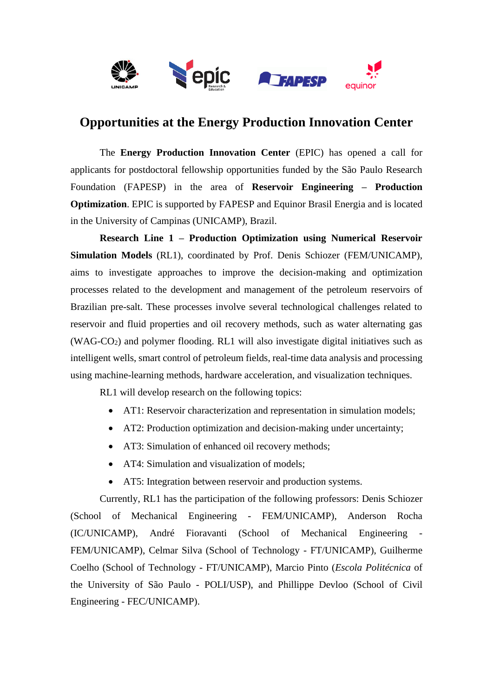

## **Opportunities at the Energy Production Innovation Center**

The **Energy Production Innovation Center** (EPIC) has opened a call for applicants for postdoctoral fellowship opportunities funded by the São Paulo Research Foundation (FAPESP) in the area of **Reservoir Engineering – Production Optimization**. EPIC is supported by FAPESP and Equinor Brasil Energia and is located in the University of Campinas (UNICAMP), Brazil.

**Research Line 1 – Production Optimization using Numerical Reservoir Simulation Models** (RL1), coordinated by Prof. Denis Schiozer (FEM/UNICAMP), aims to investigate approaches to improve the decision-making and optimization processes related to the development and management of the petroleum reservoirs of Brazilian pre-salt. These processes involve several technological challenges related to reservoir and fluid properties and oil recovery methods, such as water alternating gas  $(WAG-CO<sub>2</sub>)$  and polymer flooding. RL1 will also investigate digital initiatives such as intelligent wells, smart control of petroleum fields, real-time data analysis and processing using machine-learning methods, hardware acceleration, and visualization techniques.

RL1 will develop research on the following topics:

- AT1: Reservoir characterization and representation in simulation models;
- AT2: Production optimization and decision-making under uncertainty;
- AT3: Simulation of enhanced oil recovery methods;
- AT4: Simulation and visualization of models;
- AT5: Integration between reservoir and production systems.

Currently, RL1 has the participation of the following professors: Denis Schiozer (School of Mechanical Engineering - FEM/UNICAMP), Anderson Rocha (IC/UNICAMP), André Fioravanti (School of Mechanical Engineering - FEM/UNICAMP), Celmar Silva (School of Technology - FT/UNICAMP), Guilherme Coelho (School of Technology - FT/UNICAMP), Marcio Pinto (*Escola Politécnica* of the University of São Paulo - POLI/USP), and Phillippe Devloo (School of Civil Engineering - FEC/UNICAMP).